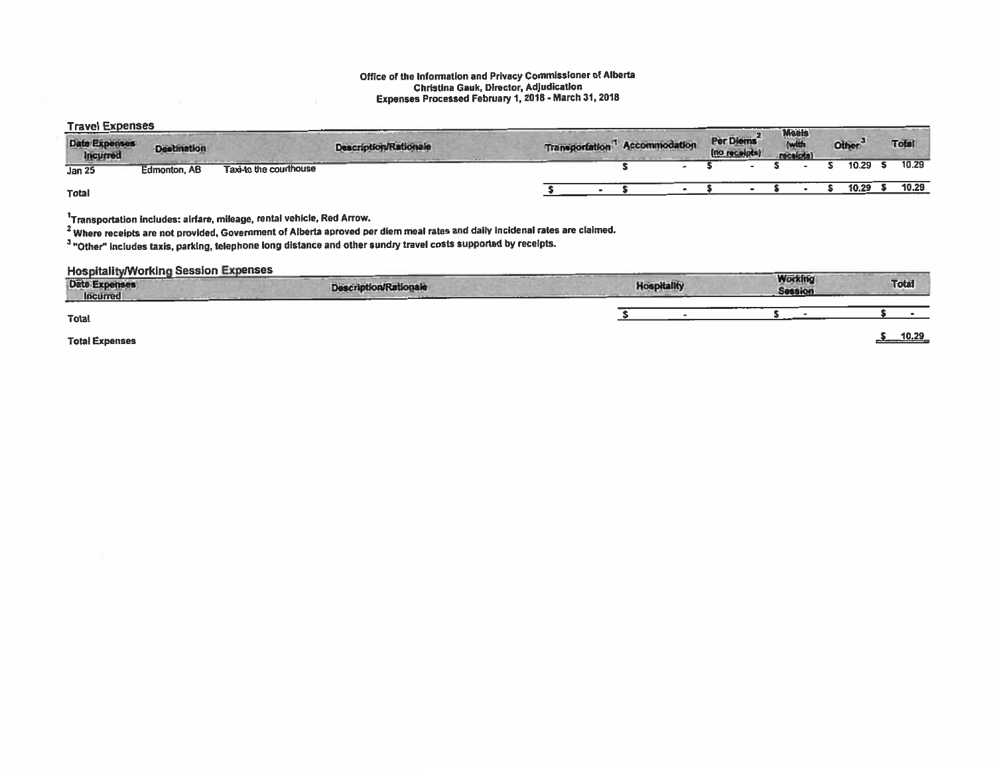## Office of the Information and Privacy Commissioner of Alberta Christina Gauk, Director, Adjudication Expenses Processed February 1,2018 -March 31, <sup>2018</sup>

## Travel Expenses

| IIQTGI LADUNGUV                  |                     |                        |                              |                       |               |                                         | <b>Moals</b> |              |              |
|----------------------------------|---------------------|------------------------|------------------------------|-----------------------|---------------|-----------------------------------------|--------------|--------------|--------------|
| <b>Date Expenses</b><br>Incurred | <b>Destination</b>  |                        | <b>Description/Rationale</b> | <b>Transportation</b> | Accommodation | Per Diems <sup>2</sup><br>(no receipts) | receipts)    | <b>Other</b> | <b>Total</b> |
| <b>Jan 25</b>                    | <b>Edmonton, AB</b> | Taxi-to the courthouse |                              |                       |               |                                         |              | 10.29        | 10.29        |
| <b>Total</b>                     |                     |                        |                              |                       |               |                                         |              | 10.29        | 10.29        |

<sup>1</sup>Transportation includes: airfare, mileage, rental vehicle, Red Arrow.

<sup>2</sup> Where receipts are not provided, Government of Alberta aproved per diem meal rates and daily incidenal rates are claimed.

<sup>3</sup> "Other" includes taxis, parking, telephone long distance and other sundry travel costs supported by receipts.

## **Hospitality/Working Session Expenses**

| <b>I IMMERICAN LETTER A BALLISTA</b><br>----- |                              | and a company of the company |                           |              |
|-----------------------------------------------|------------------------------|------------------------------|---------------------------|--------------|
| <b>Date Expenses</b><br><b>Incurred</b>       | <b>Description/Rationale</b> | <b>Hospitality</b>           | <b>Working</b><br>Session | <b>Total</b> |
| <b>Total</b>                                  |                              |                              |                           |              |
| <b>Total Expenses</b>                         |                              |                              |                           | 10.29        |
|                                               |                              |                              |                           |              |